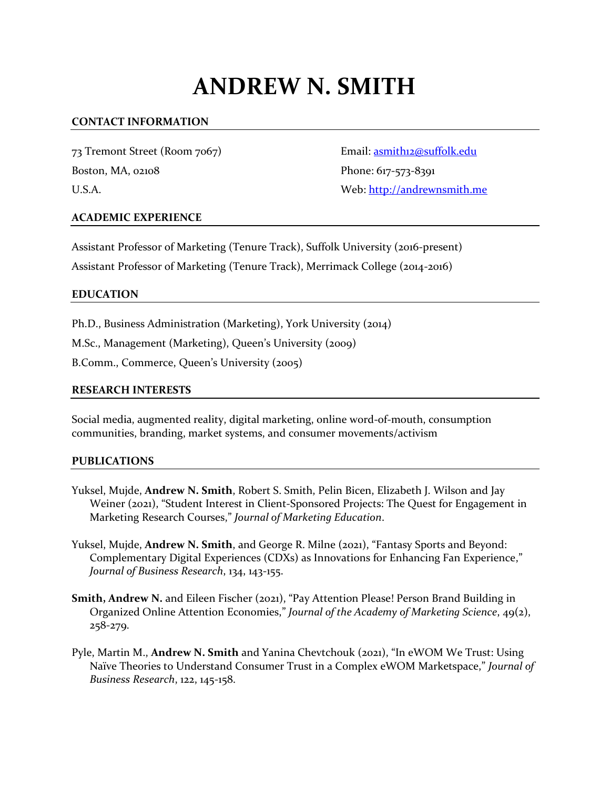# **ANDREW N. SMITH**

## **CONTACT INFORMATION**

73 Tremont Street (Room 7067) Email: [asmith12@suffolk.edu](mailto:asmith12@suffolk.edu) Boston, MA, 02108 Phone: 617-573-8391

U.S.A. Web: [http://andrewnsmith.me](http://andrewnsmith.me/) 

## **ACADEMIC EXPERIENCE**

Assistant Professor of Marketing (Tenure Track), Suffolk University (2016-present) Assistant Professor of Marketing (Tenure Track), Merrimack College (2014-2016)

#### **EDUCATION**

Ph.D., Business Administration (Marketing), York University (2014)

M.Sc., Management (Marketing), Queen's University (2009)

B.Comm., Commerce, Queen's University (2005)

#### **RESEARCH INTERESTS**

Social media, augmented reality, digital marketing, online word-of-mouth, consumption communities, branding, market systems, and consumer movements/activism

## **PUBLICATIONS**

- Yuksel, Mujde, **Andrew N. Smith**, Robert S. Smith, Pelin Bicen, Elizabeth J. Wilson and Jay Weiner (2021), "Student Interest in Client-Sponsored Projects: The Quest for Engagement in Marketing Research Courses," *Journal of Marketing Education*.
- Yuksel, Mujde, **Andrew N. Smith**, and George R. Milne (2021), "Fantasy Sports and Beyond: Complementary Digital Experiences (CDXs) as Innovations for Enhancing Fan Experience," *Journal of Business Research*, 134, 143-155.
- **Smith, Andrew N.** and Eileen Fischer (2021), "Pay Attention Please! Person Brand Building in Organized Online Attention Economies," *Journal of the Academy of Marketing Science*, 49(2), 258-279.
- Pyle, Martin M., **Andrew N. Smith** and Yanina Chevtchouk (2021), "In eWOM We Trust: Using Naïve Theories to Understand Consumer Trust in a Complex eWOM Marketspace," *Journal of Business Research*, 122, 145-158.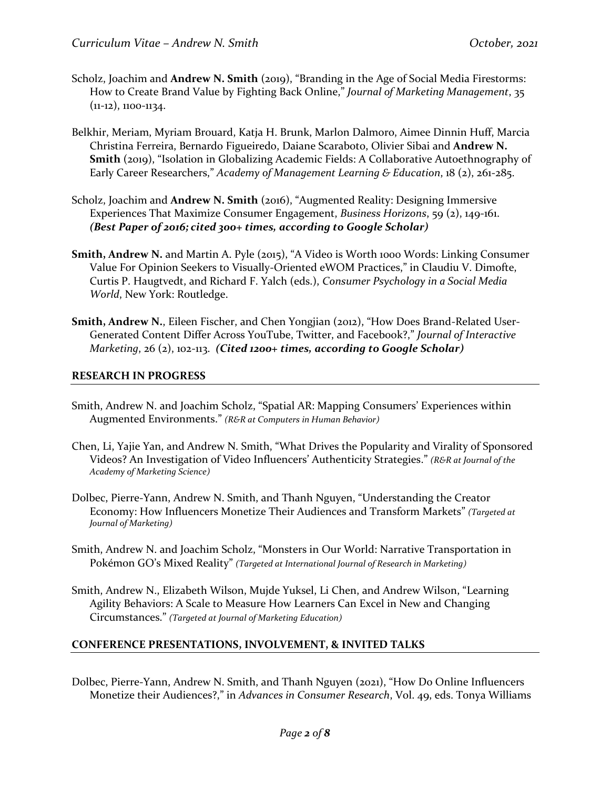- Scholz, Joachim and **Andrew N. Smith** (2019), "Branding in the Age of Social Media Firestorms: How to Create Brand Value by Fighting Back Online," *Journal of Marketing Management*, 35 (11-12), 1100-1134.
- Belkhir, Meriam, Myriam Brouard, Katja H. Brunk, Marlon Dalmoro, Aimee Dinnin Huff, Marcia Christina Ferreira, Bernardo Figueiredo, Daiane Scaraboto, Olivier Sibai and **Andrew N. Smith** (2019), "Isolation in Globalizing Academic Fields: A Collaborative Autoethnography of Early Career Researchers," *Academy of Management Learning & Education*, 18 (2), 261-285.
- Scholz, Joachim and **Andrew N. Smith** (2016), "Augmented Reality: Designing Immersive Experiences That Maximize Consumer Engagement, *Business Horizons*, 59 (2), 149-161. *(Best Paper of 2016; cited 300+ times, according to Google Scholar)*
- **Smith, Andrew N.** and Martin A. Pyle (2015), "A Video is Worth 1000 Words: Linking Consumer Value For Opinion Seekers to Visually-Oriented eWOM Practices," in Claudiu V. Dimofte, Curtis P. Haugtvedt, and Richard F. Yalch (eds.), *Consumer Psychology in a Social Media World*, New York: Routledge.
- **Smith, Andrew N., Eileen Fischer, and Chen Yongjian (2012), "How Does Brand-Related User-**Generated Content Differ Across YouTube, Twitter, and Facebook?," *Journal of Interactive Marketing*, 26 (2), 102-113. *(Cited 1200+ times, according to Google Scholar)*

## **RESEARCH IN PROGRESS**

- Smith, Andrew N. and Joachim Scholz, "Spatial AR: Mapping Consumers' Experiences within Augmented Environments." *(R&R at Computers in Human Behavior)*
- Chen, Li, Yajie Yan, and Andrew N. Smith, "What Drives the Popularity and Virality of Sponsored Videos? An Investigation of Video Influencers' Authenticity Strategies." *(R&R at Journal of the Academy of Marketing Science)*
- Dolbec, Pierre-Yann, Andrew N. Smith, and Thanh Nguyen, "Understanding the Creator Economy: How Influencers Monetize Their Audiences and Transform Markets" *(Targeted at Journal of Marketing)*
- Smith, Andrew N. and Joachim Scholz, "Monsters in Our World: Narrative Transportation in Pokémon GO's Mixed Reality" *(Targeted at International Journal of Research in Marketing)*
- Smith, Andrew N., Elizabeth Wilson, Mujde Yuksel, Li Chen, and Andrew Wilson, "Learning Agility Behaviors: A Scale to Measure How Learners Can Excel in New and Changing Circumstances." *(Targeted at Journal of Marketing Education)*

# **CONFERENCE PRESENTATIONS, INVOLVEMENT, & INVITED TALKS**

Dolbec, Pierre-Yann, Andrew N. Smith, and Thanh Nguyen (2021), "How Do Online Influencers Monetize their Audiences?," in *Advances in Consumer Research*, Vol. 49, eds. Tonya Williams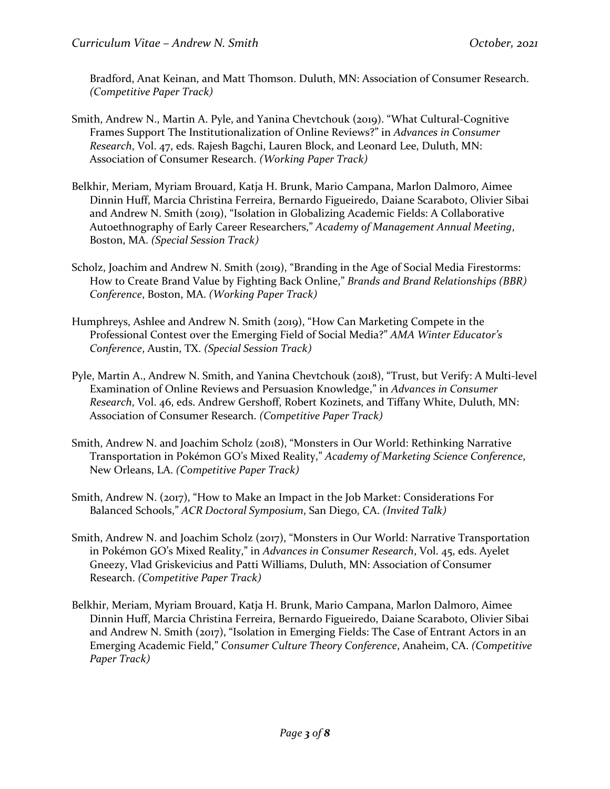Bradford, Anat Keinan, and Matt Thomson. Duluth, MN: Association of Consumer Research. *(Competitive Paper Track)*

- Smith, Andrew N., Martin A. Pyle, and Yanina Chevtchouk (2019). "What Cultural-Cognitive Frames Support The Institutionalization of Online Reviews?" in *Advances in Consumer Research*, Vol. 47, eds. Rajesh Bagchi, Lauren Block, and Leonard Lee, Duluth, MN: Association of Consumer Research. *(Working Paper Track)*
- Belkhir, Meriam, Myriam Brouard, Katja H. Brunk, Mario Campana, Marlon Dalmoro, Aimee Dinnin Huff, Marcia Christina Ferreira, Bernardo Figueiredo, Daiane Scaraboto, Olivier Sibai and Andrew N. Smith (2019), "Isolation in Globalizing Academic Fields: A Collaborative Autoethnography of Early Career Researchers," *Academy of Management Annual Meeting*, Boston, MA. *(Special Session Track)*
- Scholz, Joachim and Andrew N. Smith (2019), "Branding in the Age of Social Media Firestorms: How to Create Brand Value by Fighting Back Online," *Brands and Brand Relationships (BBR) Conference*, Boston, MA. *(Working Paper Track)*
- Humphreys, Ashlee and Andrew N. Smith (2019), "How Can Marketing Compete in the Professional Contest over the Emerging Field of Social Media?" *AMA Winter Educator's Conference*, Austin, TX. *(Special Session Track)*
- Pyle, Martin A., Andrew N. Smith, and Yanina Chevtchouk (2018), "Trust, but Verify: A Multi-level Examination of Online Reviews and Persuasion Knowledge," in *Advances in Consumer Research*, Vol. 46, eds. Andrew Gershoff, Robert Kozinets, and Tiffany White, Duluth, MN: Association of Consumer Research. *(Competitive Paper Track)*
- Smith, Andrew N. and Joachim Scholz (2018), "Monsters in Our World: Rethinking Narrative Transportation in Pokémon GO's Mixed Reality," *Academy of Marketing Science Conference*, New Orleans, LA. *(Competitive Paper Track)*
- Smith, Andrew N. (2017), "How to Make an Impact in the Job Market: Considerations For Balanced Schools," *ACR Doctoral Symposium*, San Diego, CA. *(Invited Talk)*
- Smith, Andrew N. and Joachim Scholz (2017), "Monsters in Our World: Narrative Transportation in Pokémon GO's Mixed Reality," in *Advances in Consumer Research*, Vol. 45, eds. Ayelet Gneezy, Vlad Griskevicius and Patti Williams, Duluth, MN: Association of Consumer Research. *(Competitive Paper Track)*
- Belkhir, Meriam, Myriam Brouard, Katja H. Brunk, Mario Campana, Marlon Dalmoro, Aimee Dinnin Huff, Marcia Christina Ferreira, Bernardo Figueiredo, Daiane Scaraboto, Olivier Sibai and Andrew N. Smith (2017), "Isolation in Emerging Fields: The Case of Entrant Actors in an Emerging Academic Field," *Consumer Culture Theory Conference*, Anaheim, CA. *(Competitive Paper Track)*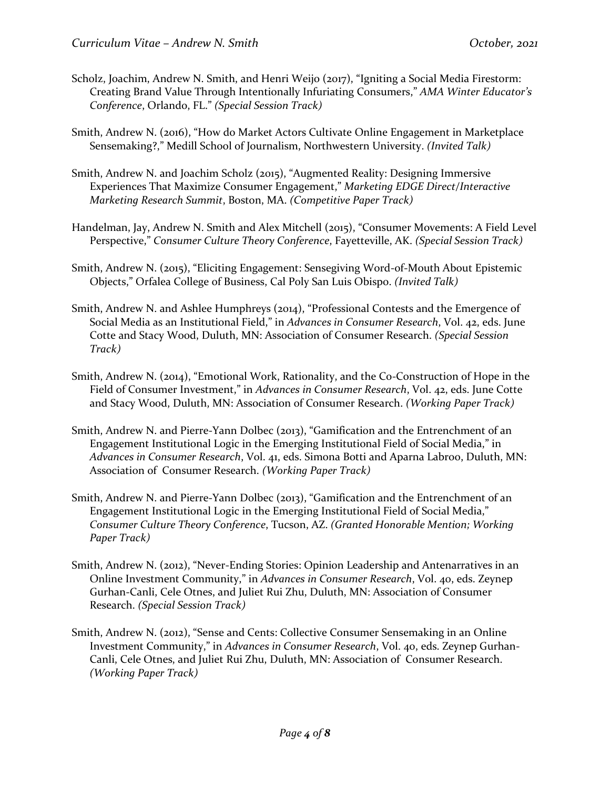- Scholz, Joachim, Andrew N. Smith, and Henri Weijo (2017), "Igniting a Social Media Firestorm: Creating Brand Value Through Intentionally Infuriating Consumers," *AMA Winter Educator's Conference*, Orlando, FL." *(Special Session Track)*
- Smith, Andrew N. (2016), "How do Market Actors Cultivate Online Engagement in Marketplace Sensemaking?," Medill School of Journalism, Northwestern University. *(Invited Talk)*
- Smith, Andrew N. and Joachim Scholz (2015), "Augmented Reality: Designing Immersive Experiences That Maximize Consumer Engagement," *Marketing EDGE Direct/Interactive Marketing Research Summit*, Boston, MA. *(Competitive Paper Track)*
- Handelman, Jay, Andrew N. Smith and Alex Mitchell (2015), "Consumer Movements: A Field Level Perspective," *Consumer Culture Theory Conference*, Fayetteville, AK. *(Special Session Track)*
- Smith, Andrew N. (2015), "Eliciting Engagement: Sensegiving Word-of-Mouth About Epistemic Objects," Orfalea College of Business, Cal Poly San Luis Obispo. *(Invited Talk)*
- Smith, Andrew N. and Ashlee Humphreys (2014), "Professional Contests and the Emergence of Social Media as an Institutional Field," in *Advances in Consumer Research*, Vol. 42, eds. June Cotte and Stacy Wood, Duluth, MN: Association of Consumer Research. *(Special Session Track)*
- Smith, Andrew N. (2014), "Emotional Work, Rationality, and the Co-Construction of Hope in the Field of Consumer Investment," in *Advances in Consumer Research*, Vol. 42, eds. June Cotte and Stacy Wood, Duluth, MN: Association of Consumer Research. *(Working Paper Track)*
- Smith, Andrew N. and Pierre-Yann Dolbec (2013), "Gamification and the Entrenchment of an Engagement Institutional Logic in the Emerging Institutional Field of Social Media," in *Advances in Consumer Research*, Vol. 41, eds. Simona Botti and Aparna Labroo, Duluth, MN: Association of Consumer Research. *(Working Paper Track)*
- Smith, Andrew N. and Pierre-Yann Dolbec (2013), "Gamification and the Entrenchment of an Engagement Institutional Logic in the Emerging Institutional Field of Social Media," *Consumer Culture Theory Conference*, Tucson, AZ. *(Granted Honorable Mention; Working Paper Track)*
- Smith, Andrew N. (2012), "Never-Ending Stories: Opinion Leadership and Antenarratives in an Online Investment Community," in *Advances in Consumer Research*, Vol. 40, eds. Zeynep Gurhan-Canli, Cele Otnes, and Juliet Rui Zhu, Duluth, MN: Association of Consumer Research. *(Special Session Track)*
- Smith, Andrew N. (2012), "Sense and Cents: Collective Consumer Sensemaking in an Online Investment Community," in *Advances in Consumer Research*, Vol. 40, eds. Zeynep Gurhan-Canli, Cele Otnes, and Juliet Rui Zhu, Duluth, MN: Association of Consumer Research. *(Working Paper Track)*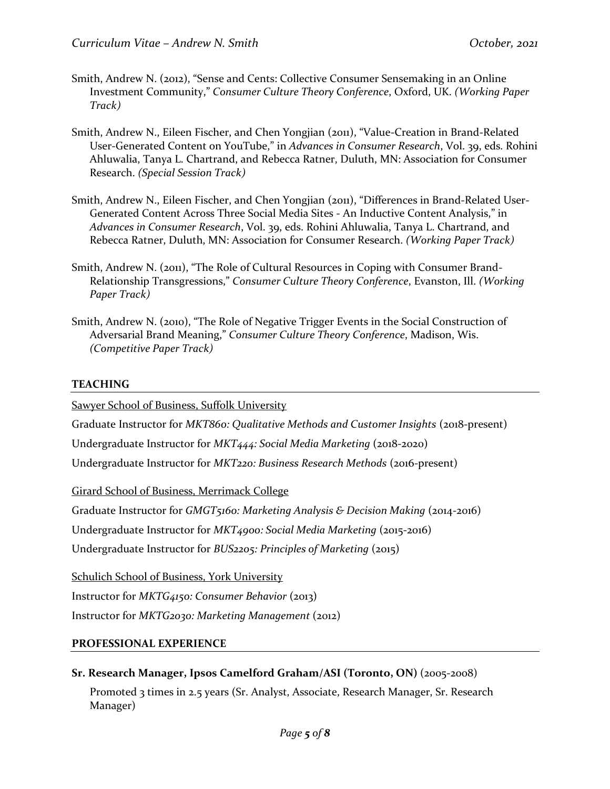- Smith, Andrew N. (2012), "Sense and Cents: Collective Consumer Sensemaking in an Online Investment Community," *Consumer Culture Theory Conference*, Oxford, UK. *(Working Paper Track)*
- Smith, Andrew N., Eileen Fischer, and Chen Yongjian (2011), "Value-Creation in Brand-Related User-Generated Content on YouTube," in *Advances in Consumer Research*, Vol. 39, eds. Rohini Ahluwalia, Tanya L. Chartrand, and Rebecca Ratner, Duluth, MN: Association for Consumer Research. *(Special Session Track)*
- Smith, Andrew N., Eileen Fischer, and Chen Yongjian (2011), "Differences in Brand-Related User-Generated Content Across Three Social Media Sites - An Inductive Content Analysis," in *Advances in Consumer Research*, Vol. 39, eds. Rohini Ahluwalia, Tanya L. Chartrand, and Rebecca Ratner, Duluth, MN: Association for Consumer Research. *(Working Paper Track)*
- Smith, Andrew N. (2011), "The Role of Cultural Resources in Coping with Consumer Brand-Relationship Transgressions," *Consumer Culture Theory Conference*, Evanston, Ill. *(Working Paper Track)*
- Smith, Andrew N. (2010), "The Role of Negative Trigger Events in the Social Construction of Adversarial Brand Meaning," *Consumer Culture Theory Conference*, Madison, Wis. *(Competitive Paper Track)*

# **TEACHING**

Sawyer School of Business, Suffolk University

Graduate Instructor for *MKT860: Qualitative Methods and Customer Insights* (2018-present)

Undergraduate Instructor for *MKT444: Social Media Marketing* (2018-2020)

Undergraduate Instructor for *MKT220: Business Research Methods* (2016-present)

Girard School of Business, Merrimack College

Graduate Instructor for *GMGT5160: Marketing Analysis & Decision Making* (2014-2016)

Undergraduate Instructor for *MKT4900: Social Media Marketing* (2015-2016)

Undergraduate Instructor for *BUS2205: Principles of Marketing* (2015)

Schulich School of Business, York University

Instructor for *MKTG4150: Consumer Behavior* (2013)

Instructor for *MKTG2030: Marketing Management* (2012)

# **PROFESSIONAL EXPERIENCE**

**Sr. Research Manager, Ipsos Camelford Graham/ASI (Toronto, ON)** (2005-2008)

Promoted 3 times in 2.5 years (Sr. Analyst, Associate, Research Manager, Sr. Research Manager)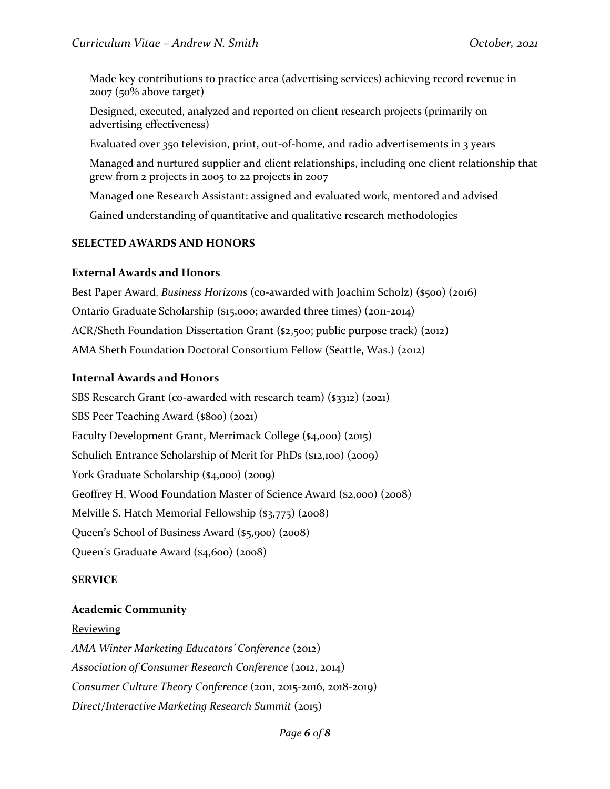Made key contributions to practice area (advertising services) achieving record revenue in 2007 (50% above target)

Designed, executed, analyzed and reported on client research projects (primarily on advertising effectiveness)

Evaluated over 350 television, print, out-of-home, and radio advertisements in 3 years

Managed and nurtured supplier and client relationships, including one client relationship that grew from 2 projects in 2005 to 22 projects in 2007

Managed one Research Assistant: assigned and evaluated work, mentored and advised

Gained understanding of quantitative and qualitative research methodologies

## **SELECTED AWARDS AND HONORS**

#### **External Awards and Honors**

Best Paper Award, *Business Horizons* (co-awarded with Joachim Scholz) (\$500) (2016) Ontario Graduate Scholarship (\$15,000; awarded three times) (2011-2014) ACR/Sheth Foundation Dissertation Grant (\$2,500; public purpose track) (2012) AMA Sheth Foundation Doctoral Consortium Fellow (Seattle, Was.) (2012)

#### **Internal Awards and Honors**

SBS Research Grant (co-awarded with research team) (\$3312) (2021) SBS Peer Teaching Award (\$800) (2021) Faculty Development Grant, Merrimack College (\$4,000) (2015) Schulich Entrance Scholarship of Merit for PhDs (\$12,100) (2009) York Graduate Scholarship (\$4,000) (2009) Geoffrey H. Wood Foundation Master of Science Award (\$2,000) (2008) Melville S. Hatch Memorial Fellowship (\$3,775) (2008) Queen's School of Business Award (\$5,900) (2008) Queen's Graduate Award (\$4,600) (2008)

## **SERVICE**

## **Academic Community**

#### **Reviewing**

*AMA Winter Marketing Educators' Conference* (2012) *Association of Consumer Research Conference* (2012, 2014) *Consumer Culture Theory Conference* (2011, 2015-2016, 2018-2019) *Direct/Interactive Marketing Research Summit* (2015)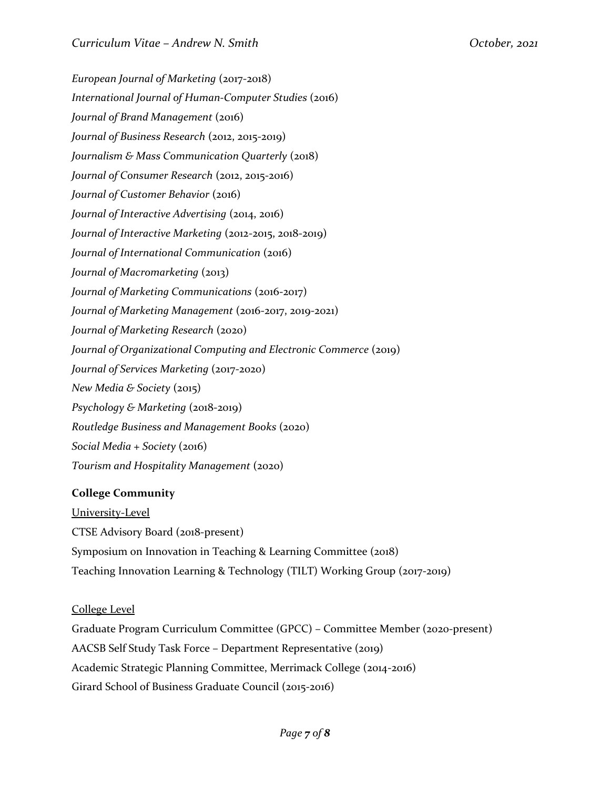*European Journal of Marketing* (2017-2018) *International Journal of Human-Computer Studies* (2016) *Journal of Brand Management* (2016) *Journal of Business Research* (2012, 2015-2019) *Journalism & Mass Communication Quarterly* (2018) *Journal of Consumer Research* (2012, 2015-2016) *Journal of Customer Behavior* (2016) *Journal of Interactive Advertising* (2014, 2016) *Journal of Interactive Marketing* (2012-2015, 2018-2019) *Journal of International Communication* (2016) *Journal of Macromarketing* (2013) *Journal of Marketing Communications* (2016-2017) *Journal of Marketing Management* (2016-2017, 2019-2021) *Journal of Marketing Research* (2020) *Journal of Organizational Computing and Electronic Commerce* (2019) *Journal of Services Marketing (2017-2020) New Media & Society* (2015) *Psychology & Marketing* (2018-2019) *Routledge Business and Management Books* (2020) *Social Media + Society* (2016) *Tourism and Hospitality Management* (2020)

# **College Community**

University-Level CTSE Advisory Board (2018-present) Symposium on Innovation in Teaching & Learning Committee (2018) Teaching Innovation Learning & Technology (TILT) Working Group (2017-2019)

# College Level

Graduate Program Curriculum Committee (GPCC) – Committee Member (2020-present) AACSB Self Study Task Force – Department Representative (2019) Academic Strategic Planning Committee, Merrimack College (2014-2016) Girard School of Business Graduate Council (2015-2016)